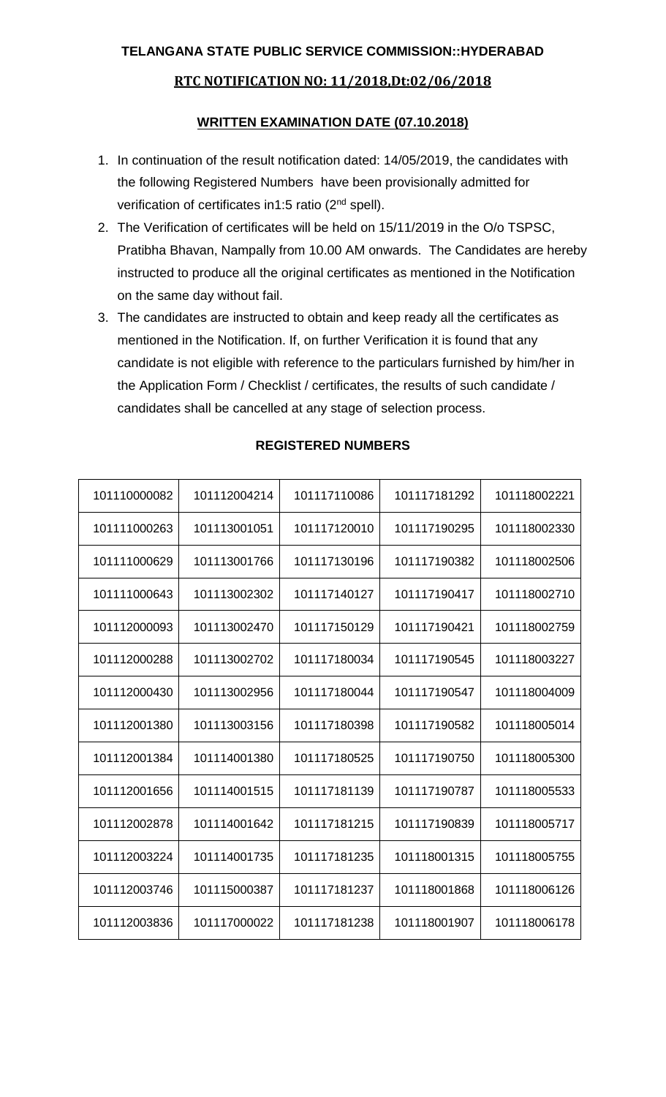## **RTC NOTIFICATION NO: 11/2018,Dt:02/06/2018**

## **WRITTEN EXAMINATION DATE (07.10.2018)**

- 1. In continuation of the result notification dated: 14/05/2019, the candidates with the following Registered Numbers have been provisionally admitted for verification of certificates in1:5 ratio (2<sup>nd</sup> spell).
- 2. The Verification of certificates will be held on 15/11/2019 in the O/o TSPSC, Pratibha Bhavan, Nampally from 10.00 AM onwards. The Candidates are hereby instructed to produce all the original certificates as mentioned in the Notification on the same day without fail.
- 3. The candidates are instructed to obtain and keep ready all the certificates as mentioned in the Notification. If, on further Verification it is found that any candidate is not eligible with reference to the particulars furnished by him/her in the Application Form / Checklist / certificates, the results of such candidate / candidates shall be cancelled at any stage of selection process.

| 101110000082 | 101112004214 | 101117110086 | 101117181292 | 101118002221 |
|--------------|--------------|--------------|--------------|--------------|
| 101111000263 | 101113001051 | 101117120010 | 101117190295 | 101118002330 |
| 101111000629 | 101113001766 | 101117130196 | 101117190382 | 101118002506 |
| 101111000643 | 101113002302 | 101117140127 | 101117190417 | 101118002710 |
| 101112000093 | 101113002470 | 101117150129 | 101117190421 | 101118002759 |
| 101112000288 | 101113002702 | 101117180034 | 101117190545 | 101118003227 |
| 101112000430 | 101113002956 | 101117180044 | 101117190547 | 101118004009 |
| 101112001380 | 101113003156 | 101117180398 | 101117190582 | 101118005014 |
| 101112001384 | 101114001380 | 101117180525 | 101117190750 | 101118005300 |
| 101112001656 | 101114001515 | 101117181139 | 101117190787 | 101118005533 |
| 101112002878 | 101114001642 | 101117181215 | 101117190839 | 101118005717 |
| 101112003224 | 101114001735 | 101117181235 | 101118001315 | 101118005755 |
| 101112003746 | 101115000387 | 101117181237 | 101118001868 | 101118006126 |
| 101112003836 | 101117000022 | 101117181238 | 101118001907 | 101118006178 |

## **REGISTERED NUMBERS**